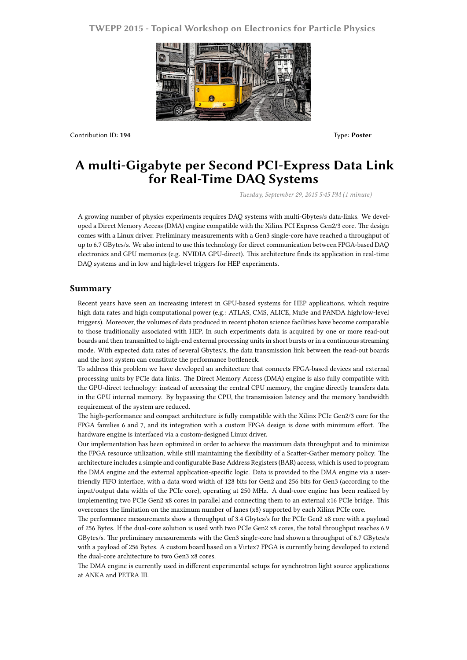## **TWEPP 2015 - Topical Workshop on Electronics for Particle Physics**



Contribution ID: **194** Type: **Poster**

## **A multi-Gigabyte per Second PCI-Express Data Link for Real-Time DAQ Systems**

*Tuesday, September 29, 2015 5:45 PM (1 minute)*

A growing number of physics experiments requires DAQ systems with multi-Gbytes/s data-links. We developed a Direct Memory Access (DMA) engine compatible with the Xilinx PCI Express Gen2/3 core. The design comes with a Linux driver. Preliminary measurements with a Gen3 single-core have reached a throughput of up to 6.7 GBytes/s. We also intend to use this technology for direct communication between FPGA-based DAQ electronics and GPU memories (e.g. NVIDIA GPU-direct). This architecture finds its application in real-time DAQ systems and in low and high-level triggers for HEP experiments.

## **Summary**

Recent years have seen an increasing interest in GPU-based systems for HEP applications, which require high data rates and high computational power (e.g.: ATLAS, CMS, ALICE, Mu3e and PANDA high/low-level triggers). Moreover, the volumes of data produced in recent photon science facilities have become comparable to those traditionally associated with HEP. In such experiments data is acquired by one or more read-out boards and then transmitted to high-end external processing units in short bursts or in a continuous streaming mode. With expected data rates of several Gbytes/s, the data transmission link between the read-out boards and the host system can constitute the performance bottleneck.

To address this problem we have developed an architecture that connects FPGA-based devices and external processing units by PCIe data links. The Direct Memory Access (DMA) engine is also fully compatible with the GPU-direct technology: instead of accessing the central CPU memory, the engine directly transfers data in the GPU internal memory. By bypassing the CPU, the transmission latency and the memory bandwidth requirement of the system are reduced.

The high-performance and compact architecture is fully compatible with the Xilinx PCIe Gen2/3 core for the FPGA families 6 and 7, and its integration with a custom FPGA design is done with minimum effort. The hardware engine is interfaced via a custom-designed Linux driver.

Our implementation has been optimized in order to achieve the maximum data throughput and to minimize the FPGA resource utilization, while still maintaining the flexibility of a Scatter-Gather memory policy. The architecture includes a simple and configurable Base Address Registers (BAR) access, which is used to program the DMA engine and the external application-specific logic. Data is provided to the DMA engine via a userfriendly FIFO interface, with a data word width of 128 bits for Gen2 and 256 bits for Gen3 (according to the input/output data width of the PCIe core), operating at 250 MHz. A dual-core engine has been realized by implementing two PCIe Gen2 x8 cores in parallel and connecting them to an external x16 PCIe bridge. This overcomes the limitation on the maximum number of lanes (x8) supported by each Xilinx PCIe core.

The performance measurements show a throughput of 3.4 Gbytes/s for the PCIe Gen2 x8 core with a payload of 256 Bytes. If the dual-core solution is used with two PCIe Gen2 x8 cores, the total throughput reaches 6.9 GBytes/s. The preliminary measurements with the Gen3 single-core had shown a throughput of 6.7 GBytes/s with a payload of 256 Bytes. A custom board based on a Virtex7 FPGA is currently being developed to extend the dual-core architecture to two Gen3 x8 cores.

The DMA engine is currently used in different experimental setups for synchrotron light source applications at ANKA and PETRA III.